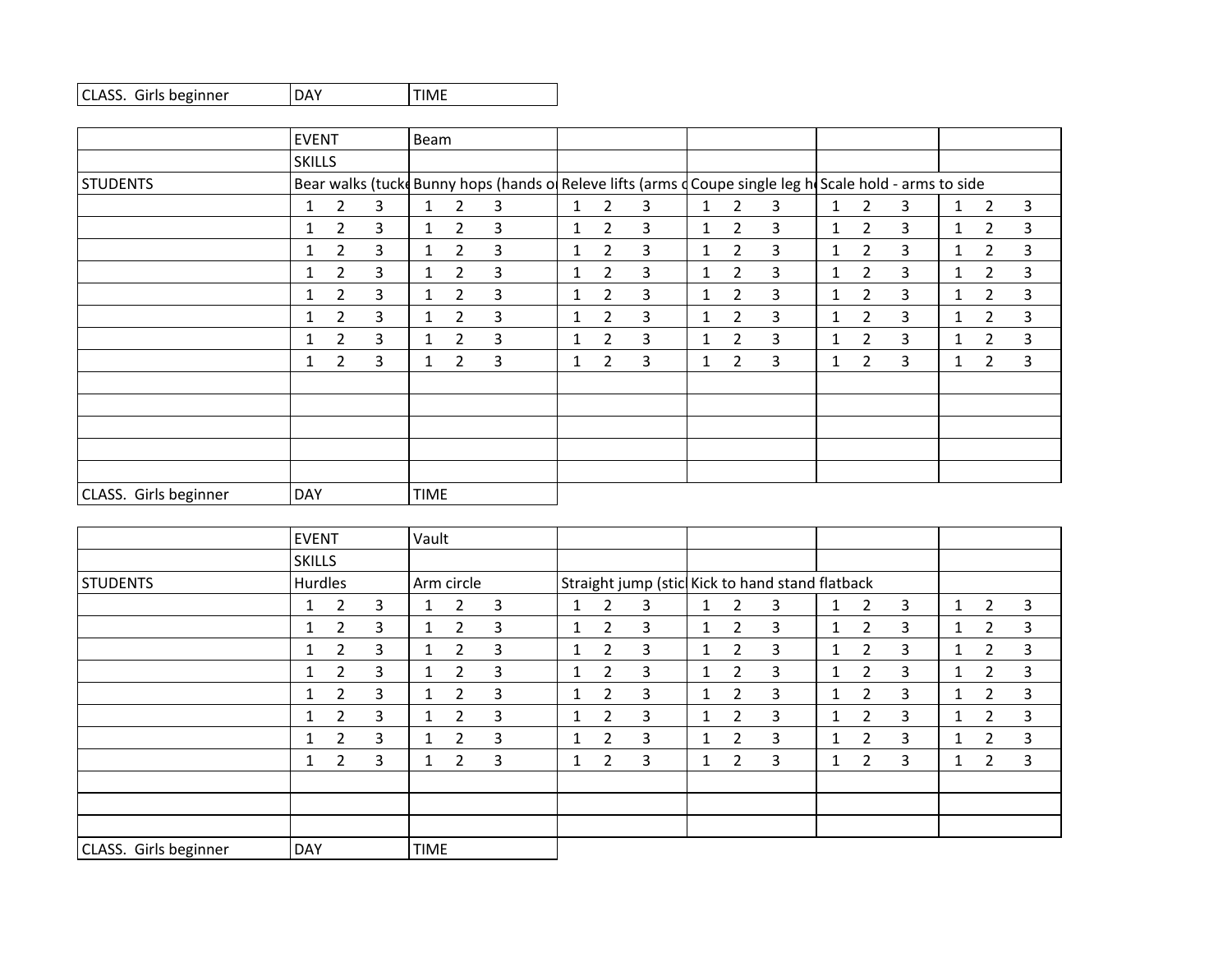| CLASS. Girls beginner | <b>IDAY</b> | <b>ITIME</b> |
|-----------------------|-------------|--------------|
|-----------------------|-------------|--------------|

|                       | <b>EVENT</b>  |                |   | Beam         |                |                                                                                                           |                 |                |   |   |                |   |              |                |   |              |                |              |
|-----------------------|---------------|----------------|---|--------------|----------------|-----------------------------------------------------------------------------------------------------------|-----------------|----------------|---|---|----------------|---|--------------|----------------|---|--------------|----------------|--------------|
|                       | <b>SKILLS</b> |                |   |              |                |                                                                                                           |                 |                |   |   |                |   |              |                |   |              |                |              |
| STUDENTS              |               |                |   |              |                | Bear walks (tucke Bunny hops (hands of Releve lifts (arms d Coupe single leg h) Scale hold - arms to side |                 |                |   |   |                |   |              |                |   |              |                |              |
|                       | 1             | $\overline{2}$ | 3 | $\mathbf{1}$ | $\overline{2}$ | 3                                                                                                         | $\mathbf{1}$    | $\overline{2}$ | 3 | 1 | $\overline{2}$ | 3 | 1            | $\overline{2}$ | 3 | 1            | $\overline{2}$ | 3            |
|                       | 1             | $\overline{2}$ | 3 | 1            | $\overline{2}$ | 3                                                                                                         | $\mathbf{1}$    | $\overline{2}$ | 3 | 1 | $\overline{2}$ | 3 | $\mathbf{1}$ | $\overline{2}$ | 3 | $\mathbf{1}$ | $\overline{2}$ | 3            |
|                       |               | $\overline{2}$ | 3 | $\mathbf{1}$ | $\overline{2}$ | 3                                                                                                         | 1               | 2              | 3 |   | 2              | 3 | 1            | 2              | 3 | 1            | 2              | 3            |
|                       |               | $\overline{2}$ | 3 | $\mathbf{1}$ | $\overline{2}$ | 3                                                                                                         | $\mathbf{1}$    | $\overline{2}$ | 3 | 1 | $\overline{2}$ | 3 | 1            | $\overline{2}$ | 3 | $\mathbf{1}$ | $\overline{2}$ | $\mathbf{3}$ |
|                       |               | 2              | 3 | $\mathbf{1}$ | 2              | 3                                                                                                         | 1.              | 2              | 3 | 1 | 2              | 3 | 1            | 2              | 3 | 1            | $\overline{2}$ | 3            |
|                       | 1             | 2              | 3 | $\mathbf{1}$ | 2              | 3                                                                                                         | 1               | 2              | 3 | 1 | 2              | 3 | 1            | $\mathbf{2}$   | 3 | $\mathbf{1}$ | 2              | 3            |
|                       |               | $\overline{2}$ | 3 | $\mathbf{1}$ | $\overline{2}$ | 3                                                                                                         | 1.              | 2              | 3 | 1 | $\overline{2}$ | 3 | 1            | $\overline{2}$ | 3 | 1            | $\overline{2}$ | $\mathbf{3}$ |
|                       | 1             | 2              | 3 | $\mathbf{1}$ | $\overline{2}$ | 3                                                                                                         | $1\overline{ }$ | 2              | 3 | 1 | $\overline{2}$ | 3 | 1            | $\overline{2}$ | 3 | 1            | $\overline{2}$ | 3            |
|                       |               |                |   |              |                |                                                                                                           |                 |                |   |   |                |   |              |                |   |              |                |              |
|                       |               |                |   |              |                |                                                                                                           |                 |                |   |   |                |   |              |                |   |              |                |              |
|                       |               |                |   |              |                |                                                                                                           |                 |                |   |   |                |   |              |                |   |              |                |              |
|                       |               |                |   |              |                |                                                                                                           |                 |                |   |   |                |   |              |                |   |              |                |              |
|                       |               |                |   |              |                |                                                                                                           |                 |                |   |   |                |   |              |                |   |              |                |              |
| CLASS. Girls beginner | <b>DAY</b>    |                |   | <b>TIME</b>  |                |                                                                                                           |                 |                |   |   |                |   |              |                |   |              |                |              |

|                       | <b>EVENT</b>  |                |   | Vault        |                |   |              |                                                 |   |   |                |   |              |                       |   |              |                |   |
|-----------------------|---------------|----------------|---|--------------|----------------|---|--------------|-------------------------------------------------|---|---|----------------|---|--------------|-----------------------|---|--------------|----------------|---|
|                       | <b>SKILLS</b> |                |   |              |                |   |              |                                                 |   |   |                |   |              |                       |   |              |                |   |
| STUDENTS              | Hurdles       |                |   |              | Arm circle     |   |              | Straight jump (stic Kick to hand stand flatback |   |   |                |   |              |                       |   |              |                |   |
|                       |               | $\overline{2}$ | 3 | 1            | 2              | 3 | $\mathbf{1}$ | 2                                               | 3 | 1 | $\overline{2}$ | 3 | 1            | $\overline{2}$        | 3 | $\mathbf{1}$ | $\overline{2}$ | 3 |
|                       |               | $\overline{2}$ | 3 | $\mathbf{1}$ | $\overline{2}$ | 3 | 1.           | $\overline{2}$                                  | 3 | 1 | 2              | 3 | $\mathbf{1}$ | $\overline{2}$        | 3 | 1.           | $\overline{2}$ | 3 |
|                       | 1             | $\overline{2}$ | 3 | $\mathbf{1}$ | $\overline{2}$ | 3 | $\mathbf{1}$ | 2                                               | 3 | 1 | 2              | 3 | $\mathbf{1}$ | $\mathbf{2}^{\prime}$ | 3 | $\mathbf{1}$ | $\overline{2}$ | 3 |
|                       |               | $\overline{2}$ | 3 | $\mathbf{1}$ | $\overline{2}$ | 3 | 1.           | 2                                               | 3 |   | 2              | 3 | 1            | $\overline{2}$        | 3 | $\mathbf{1}$ | $\overline{2}$ | 3 |
|                       | 1             | $\overline{2}$ | 3 | $\mathbf{1}$ | $\overline{2}$ | 3 | $\mathbf{1}$ | 2                                               | 3 | 1 | 2              | 3 | $\mathbf{1}$ | $\overline{2}$        | 3 | $\mathbf{1}$ | $\overline{2}$ | 3 |
|                       |               | $\overline{2}$ | 3 | $\mathbf{1}$ | 2              | 3 | $\mathbf{1}$ | $\overline{2}$                                  | 3 |   | 2              | 3 | 1            | $\mathbf{2}^{\prime}$ | 3 | $\mathbf{1}$ | $\overline{2}$ | 3 |
|                       | 1             | $\overline{2}$ | 3 | $\mathbf{1}$ | 2              | 3 | $\mathbf{1}$ | $\overline{2}$                                  | 3 | 1 | 2              | 3 | 1            | $\mathbf{2}^{\prime}$ | 3 | $\mathbf{1}$ | $\overline{2}$ | 3 |
|                       | 1             | $\overline{2}$ | 3 | $\mathbf{1}$ | 2              | 3 | $\mathbf{1}$ | $\overline{2}$                                  | 3 |   | 2              | 3 | 1            | $\mathbf{2}$          | 3 | 1            | 2              | 3 |
|                       |               |                |   |              |                |   |              |                                                 |   |   |                |   |              |                       |   |              |                |   |
|                       |               |                |   |              |                |   |              |                                                 |   |   |                |   |              |                       |   |              |                |   |
|                       |               |                |   |              |                |   |              |                                                 |   |   |                |   |              |                       |   |              |                |   |
| CLASS. Girls beginner | <b>DAY</b>    |                |   | <b>TIME</b>  |                |   |              |                                                 |   |   |                |   |              |                       |   |              |                |   |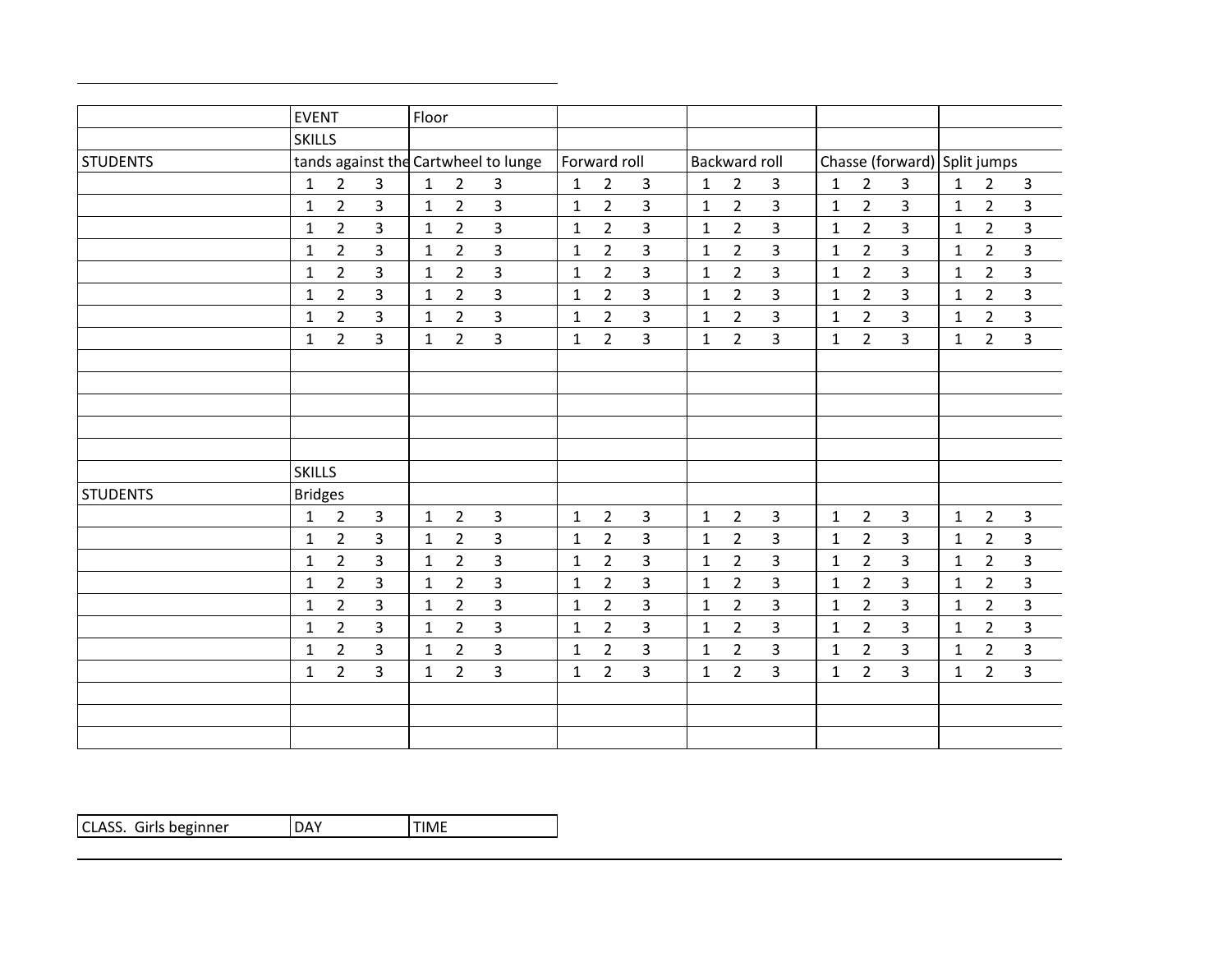|                 | <b>EVENT</b>   |                |                | Floor        |                                      |                |              |                |                |              |                      |                |              |                |                |                              |                |                         |
|-----------------|----------------|----------------|----------------|--------------|--------------------------------------|----------------|--------------|----------------|----------------|--------------|----------------------|----------------|--------------|----------------|----------------|------------------------------|----------------|-------------------------|
|                 | <b>SKILLS</b>  |                |                |              |                                      |                |              |                |                |              |                      |                |              |                |                |                              |                |                         |
| <b>STUDENTS</b> |                |                |                |              | tands against the Cartwheel to lunge |                |              | Forward roll   |                |              | <b>Backward roll</b> |                |              |                |                | Chasse (forward) Split jumps |                |                         |
|                 | 1              | $\overline{2}$ | 3              | $\mathbf{1}$ | $\overline{2}$                       | 3              | $\mathbf{1}$ | $\overline{2}$ | 3              | 1            | $\overline{2}$       | 3              | 1            | $\overline{2}$ | $\overline{3}$ | $\mathbf{1}$                 | $\overline{2}$ | $\mathbf{3}$            |
|                 | $\mathbf{1}$   | $\overline{2}$ | $\overline{3}$ | $\mathbf{1}$ | $\overline{2}$                       | $\overline{3}$ | $\mathbf{1}$ | $\overline{2}$ | $\overline{3}$ | $\mathbf{1}$ | $\overline{2}$       | 3              | $\mathbf 1$  | $\overline{2}$ | $\overline{3}$ | $\mathbf{1}$                 | $\overline{2}$ | 3                       |
|                 | $\mathbf{1}$   | $\overline{2}$ | 3              | $\mathbf{1}$ | $\overline{2}$                       | 3              | $\mathbf{1}$ | $\overline{2}$ | 3              | $\mathbf{1}$ | $\overline{2}$       | 3              | $\mathbf{1}$ | $\overline{2}$ | $\overline{3}$ | $\mathbf{1}$                 | $\overline{2}$ | $\overline{3}$          |
|                 | 1              | $\overline{2}$ | $\overline{3}$ | $\mathbf{1}$ | $\overline{2}$                       | $\overline{3}$ | $\mathbf{1}$ | $\overline{2}$ | $\overline{3}$ | $\mathbf{1}$ | $\overline{2}$       | 3              | $\mathbf{1}$ | $\overline{2}$ | $\overline{3}$ | $\mathbf{1}$                 | $\overline{2}$ | $\overline{\mathbf{3}}$ |
|                 | 1              | $\overline{2}$ | $\overline{3}$ | $\mathbf{1}$ | $\overline{2}$                       | $\overline{3}$ | $\mathbf{1}$ | $\overline{2}$ | $\overline{3}$ | $\mathbf{1}$ | $\overline{2}$       | 3              | $\mathbf{1}$ | $\overline{2}$ | $\overline{3}$ | $\mathbf{1}$                 | $\overline{2}$ | $\overline{3}$          |
|                 | $\mathbf{1}$   | $\overline{2}$ | $\overline{3}$ | $\mathbf{1}$ | $\overline{2}$                       | $\overline{3}$ | $\mathbf{1}$ | $\overline{2}$ | 3              | $\mathbf{1}$ | $\overline{2}$       | 3              | $\mathbf{1}$ | $\overline{2}$ | $\overline{3}$ | $\mathbf{1}$                 | $\overline{2}$ | $\overline{\mathbf{3}}$ |
|                 | $\mathbf{1}$   | $\overline{2}$ | $\overline{3}$ | $\mathbf{1}$ | $\overline{2}$                       | $\overline{3}$ | $\mathbf{1}$ | $\overline{2}$ | $\overline{3}$ | $\mathbf{1}$ | $\overline{2}$       | 3              | $\mathbf{1}$ | $2^{\circ}$    | $\overline{3}$ | $\mathbf{1}$                 | $\overline{2}$ | $\overline{3}$          |
|                 | 1              | $\overline{2}$ | $\overline{3}$ | $\mathbf{1}$ | $\overline{2}$                       | $\overline{3}$ | $\mathbf{1}$ | $\overline{2}$ | $\overline{3}$ | 1            | $\overline{2}$       | $\overline{3}$ | $\mathbf{1}$ | $2^{\circ}$    | $\overline{3}$ | $\mathbf{1}$                 | $\overline{2}$ | $\overline{3}$          |
|                 |                |                |                |              |                                      |                |              |                |                |              |                      |                |              |                |                |                              |                |                         |
|                 |                |                |                |              |                                      |                |              |                |                |              |                      |                |              |                |                |                              |                |                         |
|                 |                |                |                |              |                                      |                |              |                |                |              |                      |                |              |                |                |                              |                |                         |
|                 |                |                |                |              |                                      |                |              |                |                |              |                      |                |              |                |                |                              |                |                         |
|                 |                |                |                |              |                                      |                |              |                |                |              |                      |                |              |                |                |                              |                |                         |
|                 | <b>SKILLS</b>  |                |                |              |                                      |                |              |                |                |              |                      |                |              |                |                |                              |                |                         |
| <b>STUDENTS</b> | <b>Bridges</b> |                |                |              |                                      |                |              |                |                |              |                      |                |              |                |                |                              |                |                         |
|                 | $\mathbf{1}$   | $\overline{2}$ | $\overline{3}$ | $\mathbf{1}$ | $\overline{2}$                       | 3              | $\mathbf{1}$ | $\overline{2}$ | $\overline{3}$ | $\mathbf{1}$ | $\overline{2}$       | 3              | $\mathbf 1$  | $\overline{2}$ | $\overline{3}$ | $\mathbf{1}$                 | $\overline{2}$ | $\overline{3}$          |
|                 | $\mathbf{1}$   | $\overline{2}$ | 3              | $\mathbf{1}$ | $\overline{2}$                       | $\mathbf{3}$   | $\mathbf{1}$ | $\overline{2}$ | $\mathbf{3}$   | $\mathbf{1}$ | $\overline{2}$       | $\mathbf{3}$   | $\mathbf{1}$ | $\overline{2}$ | $\mathbf{3}$   | $\mathbf{1}$                 | $\overline{2}$ | $\overline{3}$          |
|                 | 1              | $\overline{2}$ | 3              | $\mathbf{1}$ | $\overline{2}$                       | 3              | $\mathbf{1}$ | $\overline{2}$ | 3              | $\mathbf{1}$ | $\overline{2}$       | 3              | $\mathbf{1}$ | $\overline{2}$ | $\overline{3}$ | $\mathbf{1}$                 | $\overline{2}$ | 3                       |
|                 | 1              | $\overline{2}$ | $\overline{3}$ | 1            | $\overline{2}$                       | $\overline{3}$ | $\mathbf{1}$ | $\overline{2}$ | 3              | $\mathbf{1}$ | $\overline{2}$       | $\overline{3}$ | $\mathbf{1}$ | $\overline{2}$ | $\overline{3}$ | $\mathbf{1}$                 | $\overline{2}$ | $\overline{3}$          |
|                 | $\mathbf{1}$   | $\overline{2}$ | $\overline{3}$ | $\mathbf{1}$ | $\overline{2}$                       | $\overline{3}$ | $\mathbf{1}$ | $\overline{2}$ | 3              | $\mathbf{1}$ | $\overline{2}$       | 3              | $\mathbf{1}$ | $\overline{2}$ | $\overline{3}$ | $\mathbf{1}$                 | $\overline{2}$ | $\overline{\mathbf{3}}$ |
|                 | $\mathbf{1}$   | $\overline{2}$ | $\overline{3}$ | $\mathbf{1}$ | $\overline{2}$                       | $\overline{3}$ | $\mathbf{1}$ | $\overline{2}$ | $\overline{3}$ | $\mathbf{1}$ | $\overline{2}$       | $\overline{3}$ | $\mathbf{1}$ | $2^{\circ}$    | $\overline{3}$ | $\mathbf{1}$                 | $\overline{2}$ | $\overline{3}$          |
|                 | 1              | $\overline{2}$ | 3              | 1            | $\overline{2}$                       | $\overline{3}$ | 1            | $\overline{2}$ | 3              | $\mathbf{1}$ | $\overline{2}$       | $\overline{3}$ | $\mathbf{1}$ | $\overline{2}$ | $\overline{3}$ | $\mathbf{1}$                 | $\overline{2}$ | $\overline{3}$          |
|                 | $\mathbf{1}$   | $\overline{2}$ | $\overline{3}$ | $\mathbf{1}$ | $\overline{2}$                       | $\overline{3}$ | $\mathbf{1}$ | $\overline{2}$ | $\overline{3}$ | 1            | $\overline{2}$       | 3              | $\mathbf{1}$ | $\overline{2}$ | $\overline{3}$ | $\mathbf{1}$                 | $\overline{2}$ | $\overline{3}$          |
|                 |                |                |                |              |                                      |                |              |                |                |              |                      |                |              |                |                |                              |                |                         |
|                 |                |                |                |              |                                      |                |              |                |                |              |                      |                |              |                |                |                              |                |                         |
|                 |                |                |                |              |                                      |                |              |                |                |              |                      |                |              |                |                |                              |                |                         |

| CLASS. Girls beginner | l DAY | <b>ITIME</b> |
|-----------------------|-------|--------------|
|-----------------------|-------|--------------|